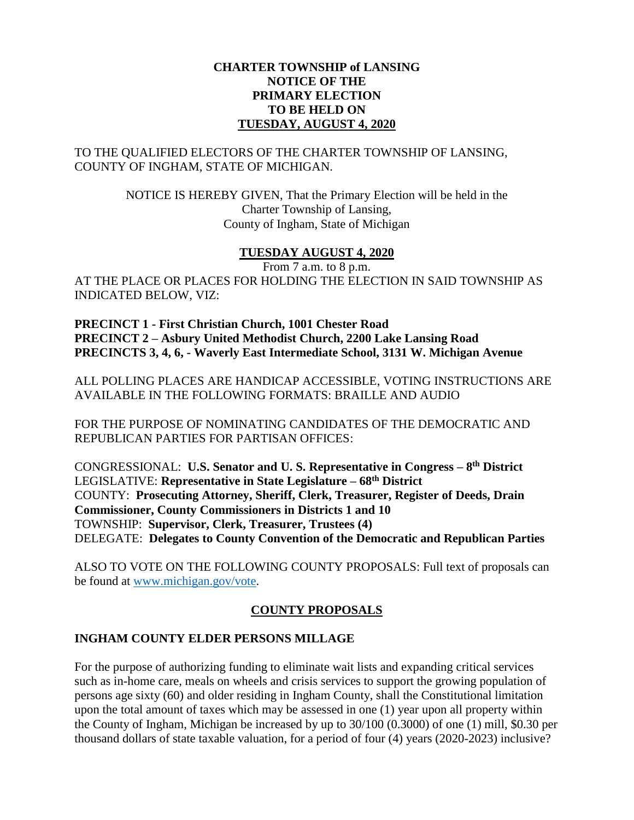#### **CHARTER TOWNSHIP of LANSING NOTICE OF THE PRIMARY ELECTION TO BE HELD ON TUESDAY, AUGUST 4, 2020**

### TO THE QUALIFIED ELECTORS OF THE CHARTER TOWNSHIP OF LANSING, COUNTY OF INGHAM, STATE OF MICHIGAN.

NOTICE IS HEREBY GIVEN, That the Primary Election will be held in the Charter Township of Lansing, County of Ingham, State of Michigan

### **TUESDAY AUGUST 4, 2020**

From 7 a.m. to 8 p.m. AT THE PLACE OR PLACES FOR HOLDING THE ELECTION IN SAID TOWNSHIP AS INDICATED BELOW, VIZ:

**PRECINCT 1 - First Christian Church, 1001 Chester Road PRECINCT 2 – Asbury United Methodist Church, 2200 Lake Lansing Road PRECINCTS 3, 4, 6, - Waverly East Intermediate School, 3131 W. Michigan Avenue**

ALL POLLING PLACES ARE HANDICAP ACCESSIBLE, VOTING INSTRUCTIONS ARE AVAILABLE IN THE FOLLOWING FORMATS: BRAILLE AND AUDIO

FOR THE PURPOSE OF NOMINATING CANDIDATES OF THE DEMOCRATIC AND REPUBLICAN PARTIES FOR PARTISAN OFFICES:

CONGRESSIONAL: **U.S. Senator and U. S. Representative in Congress – 8 th District** LEGISLATIVE: **Representative in State Legislature – 68th District** COUNTY: **Prosecuting Attorney, Sheriff, Clerk, Treasurer, Register of Deeds, Drain Commissioner, County Commissioners in Districts 1 and 10** TOWNSHIP: **Supervisor, Clerk, Treasurer, Trustees (4)** DELEGATE: **Delegates to County Convention of the Democratic and Republican Parties**

ALSO TO VOTE ON THE FOLLOWING COUNTY PROPOSALS: Full text of proposals can be found at [www.michigan.gov/vote.](http://www.michigan.gov/vote)

# **COUNTY PROPOSALS**

# **INGHAM COUNTY ELDER PERSONS MILLAGE**

For the purpose of authorizing funding to eliminate wait lists and expanding critical services such as in-home care, meals on wheels and crisis services to support the growing population of persons age sixty (60) and older residing in Ingham County, shall the Constitutional limitation upon the total amount of taxes which may be assessed in one (1) year upon all property within the County of Ingham, Michigan be increased by up to 30/100 (0.3000) of one (1) mill, \$0.30 per thousand dollars of state taxable valuation, for a period of four (4) years (2020-2023) inclusive?